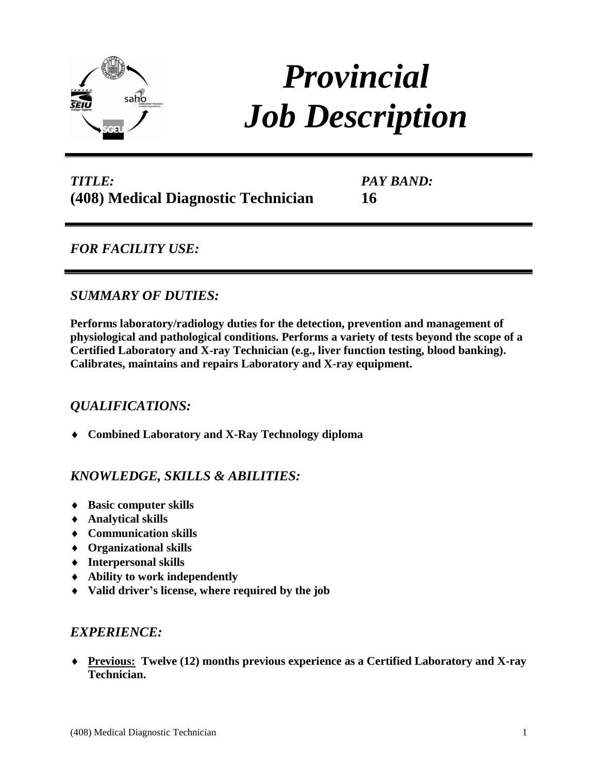

# *Provincial Job Description*

## *TITLE:* **(408) Medical Diagnostic Technician**

*PAY BAND:* **16**

*FOR FACILITY USE:* 

## *SUMMARY OF DUTIES:*

**Performs laboratory/radiology duties for the detection, prevention and management of physiological and pathological conditions. Performs a variety of tests beyond the scope of a Certified Laboratory and X-ray Technician (e.g., liver function testing, blood banking). Calibrates, maintains and repairs Laboratory and X-ray equipment.** 

## *QUALIFICATIONS:*

**Combined Laboratory and X-Ray Technology diploma**

## *KNOWLEDGE, SKILLS & ABILITIES:*

- **Basic computer skills**
- **Analytical skills**
- **Communication skills**
- **Organizational skills**
- **Interpersonal skills**
- **Ability to work independently**
- **Valid driver's license, where required by the job**

### *EXPERIENCE:*

 **Previous: Twelve (12) months previous experience as a Certified Laboratory and X-ray Technician.**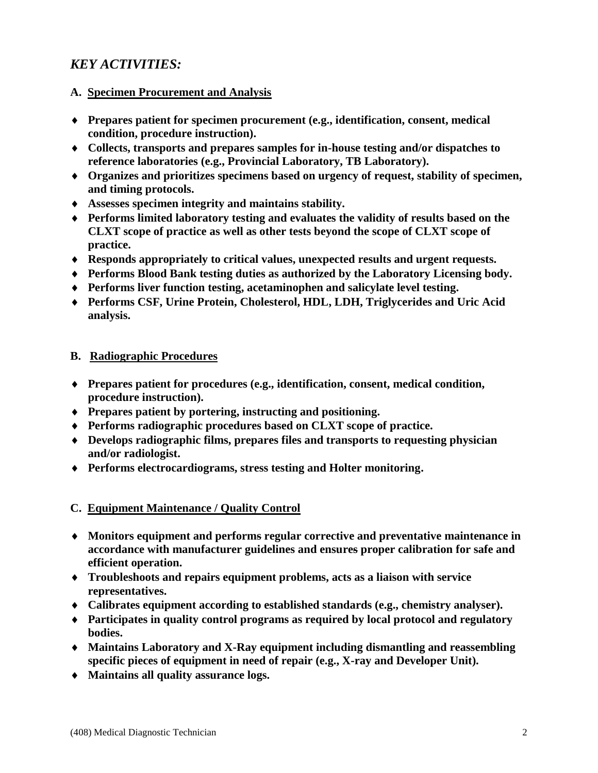## *KEY ACTIVITIES:*

#### **A. Specimen Procurement and Analysis**

- **Prepares patient for specimen procurement (e.g., identification, consent, medical condition, procedure instruction).**
- **Collects, transports and prepares samples for in-house testing and/or dispatches to reference laboratories (e.g., Provincial Laboratory, TB Laboratory).**
- **Organizes and prioritizes specimens based on urgency of request, stability of specimen, and timing protocols.**
- **Assesses specimen integrity and maintains stability.**
- **Performs limited laboratory testing and evaluates the validity of results based on the CLXT scope of practice as well as other tests beyond the scope of CLXT scope of practice.**
- **Responds appropriately to critical values, unexpected results and urgent requests.**
- **Performs Blood Bank testing duties as authorized by the Laboratory Licensing body.**
- **Performs liver function testing, acetaminophen and salicylate level testing.**
- **Performs CSF, Urine Protein, Cholesterol, HDL, LDH, Triglycerides and Uric Acid analysis.**

#### **B. Radiographic Procedures**

- **Prepares patient for procedures (e.g., identification, consent, medical condition, procedure instruction).**
- **Prepares patient by portering, instructing and positioning.**
- **Performs radiographic procedures based on CLXT scope of practice.**
- **Develops radiographic films, prepares files and transports to requesting physician and/or radiologist.**
- **Performs electrocardiograms, stress testing and Holter monitoring.**

#### **C. Equipment Maintenance / Quality Control**

- **Monitors equipment and performs regular corrective and preventative maintenance in accordance with manufacturer guidelines and ensures proper calibration for safe and efficient operation.**
- **Troubleshoots and repairs equipment problems, acts as a liaison with service representatives.**
- **Calibrates equipment according to established standards (e.g., chemistry analyser).**
- **Participates in quality control programs as required by local protocol and regulatory bodies.**
- **Maintains Laboratory and X-Ray equipment including dismantling and reassembling specific pieces of equipment in need of repair (e.g., X-ray and Developer Unit).**
- **Maintains all quality assurance logs.**